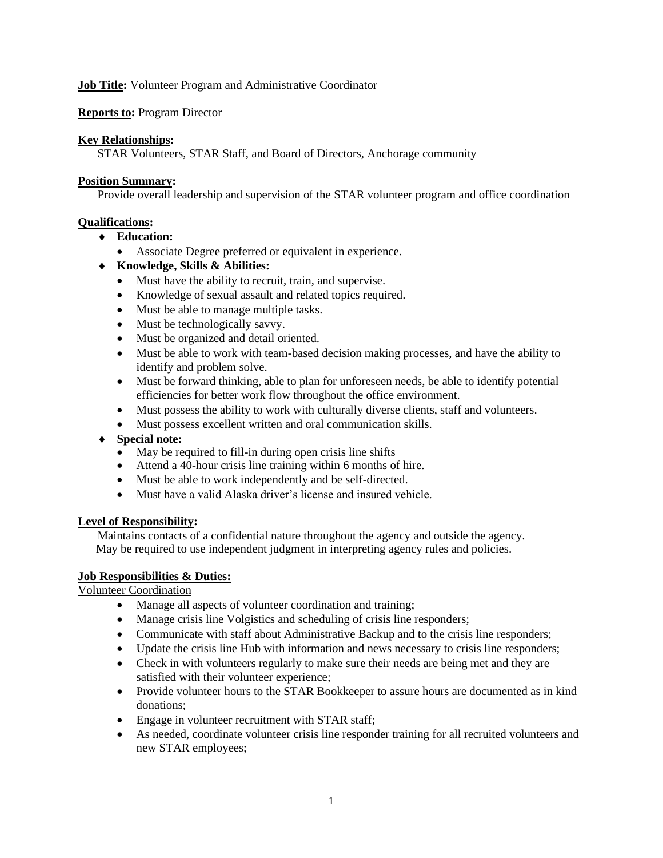## **Job Title:** Volunteer Program and Administrative Coordinator

### **Reports to:** Program Director

#### **Key Relationships:**

STAR Volunteers, STAR Staff, and Board of Directors, Anchorage community

#### **Position Summary:**

Provide overall leadership and supervision of the STAR volunteer program and office coordination

### **Qualifications:**

- **Education:**
	- Associate Degree preferred or equivalent in experience.

# **Knowledge, Skills & Abilities:**

- Must have the ability to recruit, train, and supervise.
- Knowledge of sexual assault and related topics required.
- Must be able to manage multiple tasks.
- Must be technologically savvy.
- Must be organized and detail oriented.
- Must be able to work with team-based decision making processes, and have the ability to identify and problem solve.
- Must be forward thinking, able to plan for unforeseen needs, be able to identify potential efficiencies for better work flow throughout the office environment.
- Must possess the ability to work with culturally diverse clients, staff and volunteers.
- Must possess excellent written and oral communication skills.
- **Special note:**
	- May be required to fill-in during open crisis line shifts
	- Attend a 40-hour crisis line training within 6 months of hire.
	- Must be able to work independently and be self-directed.
	- Must have a valid Alaska driver's license and insured vehicle.

# **Level of Responsibility:**

Maintains contacts of a confidential nature throughout the agency and outside the agency. May be required to use independent judgment in interpreting agency rules and policies.

# **Job Responsibilities & Duties:**

Volunteer Coordination

- Manage all aspects of volunteer coordination and training;
- Manage crisis line Volgistics and scheduling of crisis line responders;
- Communicate with staff about Administrative Backup and to the crisis line responders;
- Update the crisis line Hub with information and news necessary to crisis line responders;
- Check in with volunteers regularly to make sure their needs are being met and they are satisfied with their volunteer experience;
- Provide volunteer hours to the STAR Bookkeeper to assure hours are documented as in kind donations;
- Engage in volunteer recruitment with STAR staff;
- As needed, coordinate volunteer crisis line responder training for all recruited volunteers and new STAR employees;